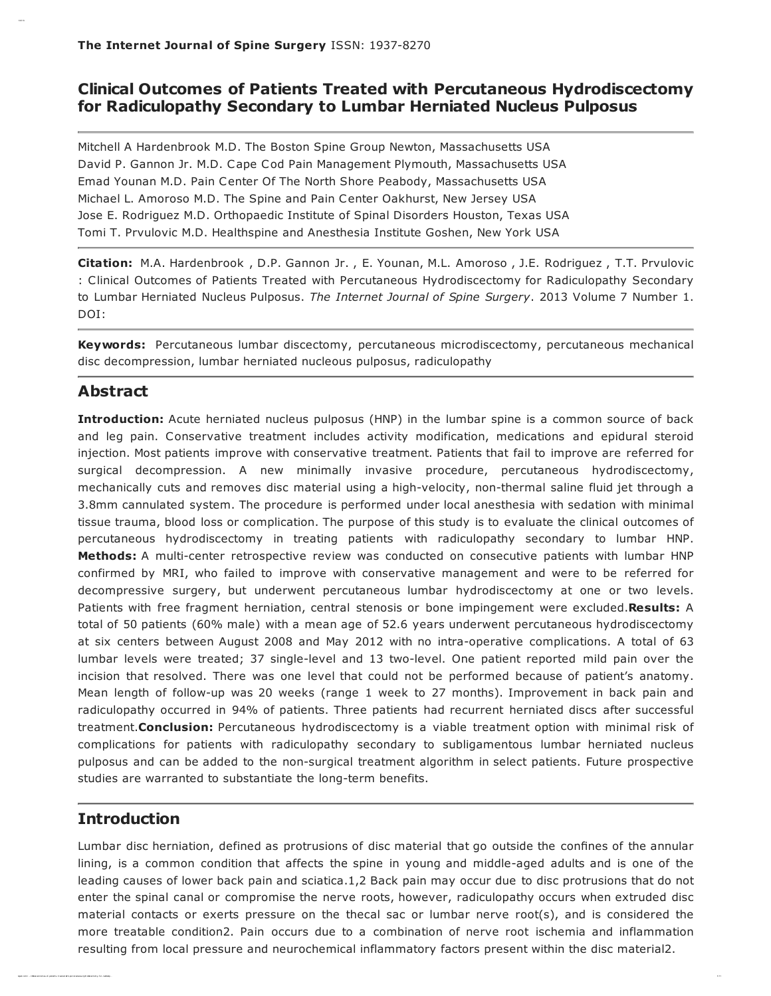# Clinical Outcomes of Patients Treated with Percutaneous Hydrodiscectomy for Radiculopathy Secondary to Lumbar Herniated Nucleus Pulposus

Mitchell A Hardenbrook M.D. The Boston Spine Group Newton, Massachusetts USA David P. Gannon Jr. M.D. Cape Cod Pain Management Plymouth, Massachusetts USA Emad Younan M.D. Pain Center Of The North Shore Peabody, Massachusetts USA Michael L. Amoroso M.D. The Spine and Pain Center Oakhurst, New Jersey USA Jose E. Rodriguez M.D. Orthopaedic Institute of Spinal Disorders Houston, Texas USA Tomi T. Prvulovic M.D. Healthspine and Anesthesia Institute Goshen, New York USA

Citation: M.A. Hardenbrook , D.P. Gannon Jr. , E. Younan, M.L. Amoroso , J.E. Rodriguez , T.T. Prvulovic : Clinical Outcomes of Patients Treated with Percutaneous Hydrodiscectomy for Radiculopathy Secondary to Lumbar Herniated Nucleus Pulposus. The Internet Journal of Spine Surgery. 2013 Volume 7 Number 1. DOI:

Keywords: Percutaneous lumbar discectomy, percutaneous microdiscectomy, percutaneous mechanical disc decompression, lumbar herniated nucleous pulposus, radiculopathy

## Abstract

Clinical O ut of Pat ient s Tr eat ed with Per cut and

Introduction: Acute herniated nucleus pulposus (HNP) in the lumbar spine is a common source of back and leg pain. Conservative treatment includes activity modification, medications and epidural steroid injection. Most patients improve with conservative treatment. Patients that fail to improve are referred for surgical decompression. A new minimally invasive procedure, percutaneous hydrodiscectomy, mechanically cuts and removes disc material using a high-velocity, non-thermal saline fluid jet through a 3.8mm cannulated system. The procedure is performed under local anesthesia with sedation with minimal tissue trauma, blood loss or complication. The purpose of this study is to evaluate the clinical outcomes of percutaneous hydrodiscectomy in treating patients with radiculopathy secondary to lumbar HNP. Methods: A multi-center retrospective review was conducted on consecutive patients with lumbar HNP confirmed by MRI, who failed to improve with conservative management and were to be referred for decompressive surgery, but underwent percutaneous lumbar hydrodiscectomy at one or two levels. Patients with free fragment herniation, central stenosis or bone impingement were excluded.Results: A total of 50 patients (60% male) with a mean age of 52.6 years underwent percutaneous hydrodiscectomy at six centers between August 2008 and May 2012 with no intra-operative complications. A total of 63 lumbar levels were treated; 37 single-level and 13 two-level. One patient reported mild pain over the incision that resolved. There was one level that could not be performed because of patient's anatomy. Mean length of follow-up was 20 weeks (range 1 week to 27 months). Improvement in back pain and radiculopathy occurred in 94% of patients. Three patients had recurrent herniated discs after successful treatment. Conclusion: Percutaneous hydrodiscectomy is a viable treatment option with minimal risk of complications for patients with radiculopathy secondary to subligamentous lumbar herniated nucleus pulposus and can be added to the non-surgical treatment algorithm in select patients. Future prospective studies are warranted to substantiate the long-term benefits.

## **Introduction**

Lumbar disc herniation, defined as protrusions of disc material that go outside the confines of the annular lining, is a common condition that affects the spine in young and middle-aged adults and is one of the leading causes of lower back pain and sciatica.1,2 Back pain may occur due to disc protrusions that do not enter the spinal canal or compromise the nerve roots, however, radiculopathy occurs when extruded disc material contacts or exerts pressure on the thecal sac or lumbar nerve root(s), and is considered the more treatable condition2. Pain occurs due to a combination of nerve root ischemia and inflammation resulting from local pressure and neurochemical inflammatory factors present within the disc material2.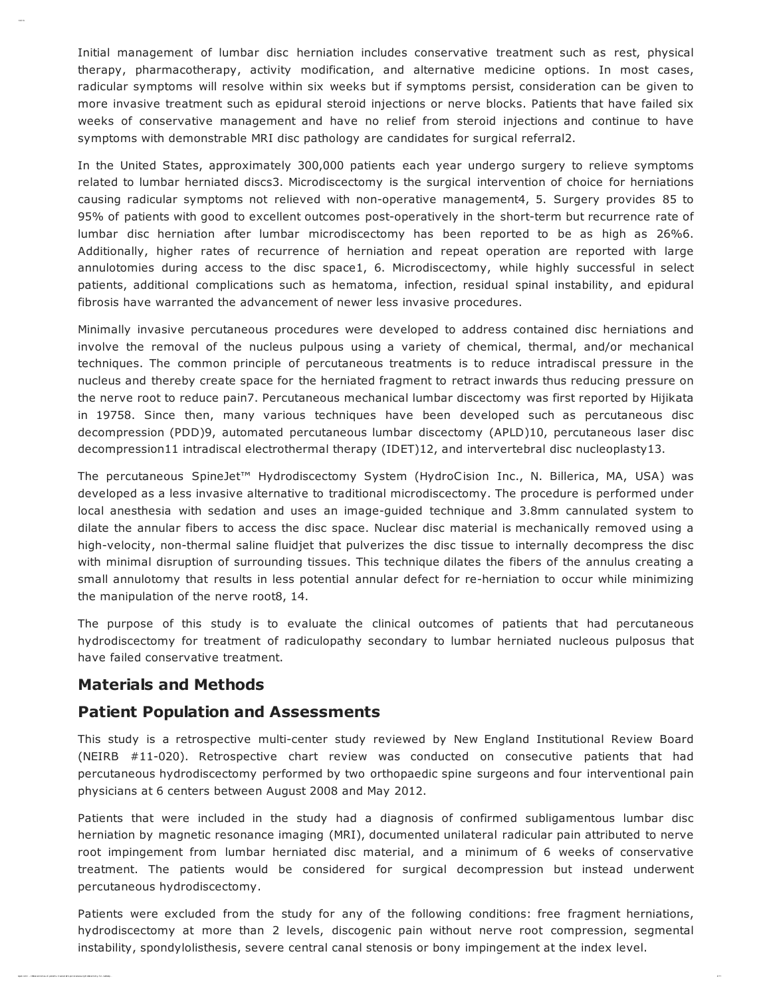Initial management of lumbar disc herniation includes conservative treatment such as rest, physical therapy, pharmacotherapy, activity modification, and alternative medicine options. In most cases, radicular symptoms will resolve within six weeks but if symptoms persist, consideration can be given to more invasive treatment such as epidural steroid injections or nerve blocks. Patients that have failed six weeks of conservative management and have no relief from steroid injections and continue to have symptoms with demonstrable MRI disc pathology are candidates for surgical referral2.

In the United States, approximately 300,000 patients each year undergo surgery to relieve symptoms related to lumbar herniated discs3. Microdiscectomy is the surgical intervention of choice for herniations causing radicular symptoms not relieved with non-operative management4, 5. Surgery provides 85 to 95% of patients with good to excellent outcomes post-operatively in the short-term but recurrence rate of lumbar disc herniation after lumbar microdiscectomy has been reported to be as high as 26%6. Additionally, higher rates of recurrence of herniation and repeat operation are reported with large annulotomies during access to the disc space1, 6. Microdiscectomy, while highly successful in select patients, additional complications such as hematoma, infection, residual spinal instability, and epidural fibrosis have warranted the advancement of newer less invasive procedures.

Minimally invasive percutaneous procedures were developed to address contained disc herniations and involve the removal of the nucleus pulpous using a variety of chemical, thermal, and/or mechanical techniques. The common principle of percutaneous treatments is to reduce intradiscal pressure in the nucleus and thereby create space for the herniated fragment to retract inwards thus reducing pressure on the nerve root to reduce pain7. Percutaneous mechanical lumbar discectomy was first reported by Hijikata in 19758. Since then, many various techniques have been developed such as percutaneous disc decompression (PDD)9, automated percutaneous lumbar discectomy (APLD)10, percutaneous laser disc decompression11 intradiscal electrothermal therapy (IDET)12, and intervertebral disc nucleoplasty13.

The percutaneous SpineJet™ Hydrodiscectomy System (HydroCision Inc., N. Billerica, MA, USA) was developed as a less invasive alternative to traditional microdiscectomy. The procedure is performed under local anesthesia with sedation and uses an image-guided technique and 3.8mm cannulated system to dilate the annular fibers to access the disc space. Nuclear disc material is mechanically removed using a high-velocity, non-thermal saline fluidjet that pulverizes the disc tissue to internally decompress the disc with minimal disruption of surrounding tissues. This technique dilates the fibers of the annulus creating a small annulotomy that results in less potential annular defect for re-herniation to occur while minimizing the manipulation of the nerve root8, 14.

The purpose of this study is to evaluate the clinical outcomes of patients that had percutaneous hydrodiscectomy for treatment of radiculopathy secondary to lumbar herniated nucleous pulposus that have failed conservative treatment.

## Materials and Methods

### Patient Population and Assessments

This study is a retrospective multi-center study reviewed by New England Institutional Review Board (NEIRB #11-020). Retrospective chart review was conducted on consecutive patients that had percutaneous hydrodiscectomy performed by two orthopaedic spine surgeons and four interventional pain physicians at 6 centers between August 2008 and May 2012.

Patients that were included in the study had a diagnosis of confirmed subligamentous lumbar disc herniation by magnetic resonance imaging (MRI), documented unilateral radicular pain attributed to nerve root impingement from lumbar herniated disc material, and a minimum of 6 weeks of conservative treatment. The patients would be considered for surgical decompression but instead underwent percutaneous hydrodiscectomy.

Patients were excluded from the study for any of the following conditions: free fragment herniations, hydrodiscectomy at more than 2 levels, discogenic pain without nerve root compression, segmental instability, spondylolisthesis, severe central canal stenosis or bony impingement at the index level.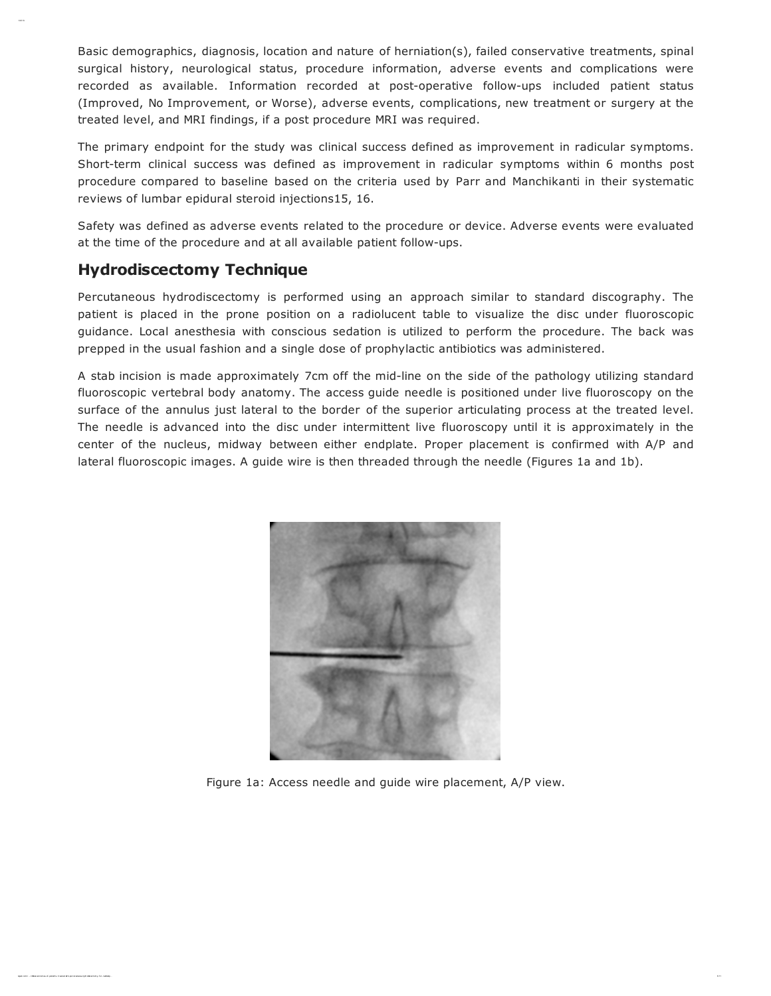Basic demographics, diagnosis, location and nature of herniation(s), failed conservative treatments, spinal surgical history, neurological status, procedure information, adverse events and complications were recorded as available. Information recorded at post-operative follow-ups included patient status (Improved, No Improvement, or Worse), adverse events, complications, new treatment or surgery at the treated level, and MRI findings, if a post procedure MRI was required.

The primary endpoint for the study was clinical success defined as improvement in radicular symptoms. Short-term clinical success was defined as improvement in radicular symptoms within 6 months post procedure compared to baseline based on the criteria used by Parr and Manchikanti in their systematic reviews of lumbar epidural steroid injections15, 16.

Safety was defined as adverse events related to the procedure or device. Adverse events were evaluated at the time of the procedure and at all available patient follow-ups.

# Hydrodiscectomy Technique

Clinical O ut of Pat ient s Tr eat ed with Per cut and

Percutaneous hydrodiscectomy is performed using an approach similar to standard discography. The patient is placed in the prone position on a radiolucent table to visualize the disc under fluoroscopic guidance. Local anesthesia with conscious sedation is utilized to perform the procedure. The back was prepped in the usual fashion and a single dose of prophylactic antibiotics was administered.

A stab incision is made approximately 7cm off the mid-line on the side of the pathology utilizing standard fluoroscopic vertebral body anatomy. The access guide needle is positioned under live fluoroscopy on the surface of the annulus just lateral to the border of the superior articulating process at the treated level. The needle is advanced into the disc under intermittent live fluoroscopy until it is approximately in the center of the nucleus, midway between either endplate. Proper placement is confirmed with A/P and lateral fluoroscopic images. A guide wire is then threaded through the needle (Figures 1a and 1b).



Figure 1a: Access needle and guide wire placement, A/P view.

 $\mathcal{I}$  . Com  $\mathcal{I}$  . Comes of - pat ient s- tr eat ed- with - per cut aneous- true tradical- only- for - r addicated. Only- for - r addicated.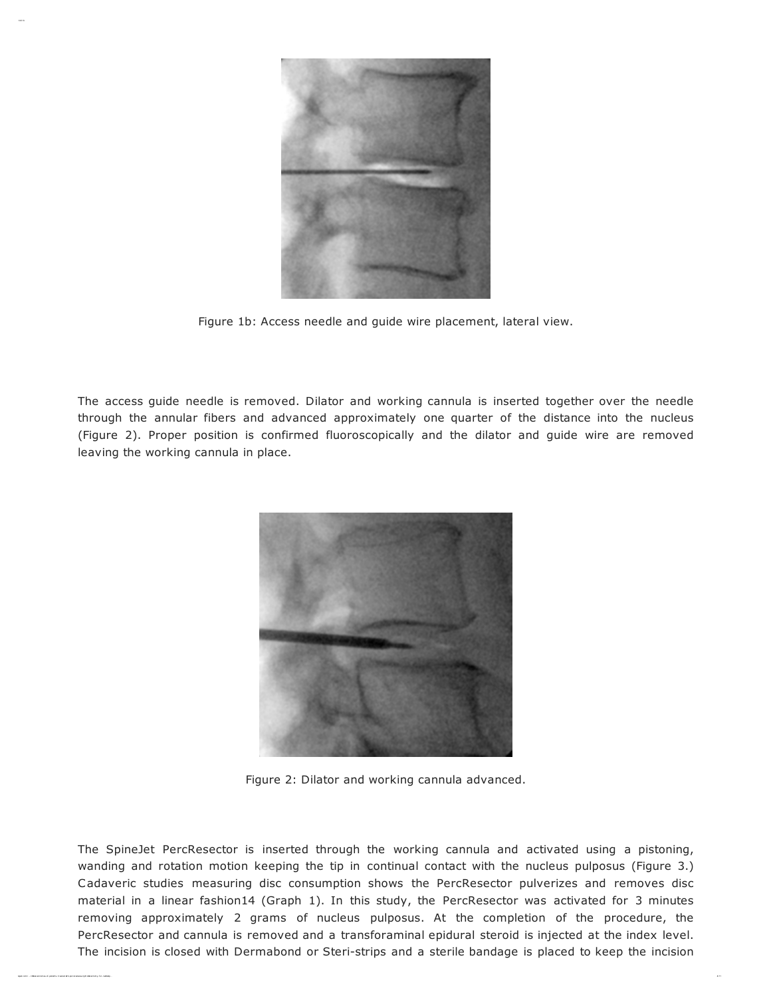

Figure 1b: Access needle and guide wire placement, lateral view.

The access guide needle is removed. Dilator and working cannula is inserted together over the needle through the annular fibers and advanced approximately one quarter of the distance into the nucleus (Figure 2). Proper position is confirmed fluoroscopically and the dilator and guide wire are removed leaving the working cannula in place.



Figure 2: Dilator and working cannula advanced.

The SpineJet PercResector is inserted through the working cannula and activated using a pistoning, wanding and rotation motion keeping the tip in continual contact with the nucleus pulposus (Figure 3.) Cadaveric studies measuring disc consumption shows the PercResector pulverizes and removes disc material in a linear fashion14 (Graph 1). In this study, the PercResector was activated for 3 minutes removing approximately 2 grams of nucleus pulposus. At the completion of the procedure, the PercResector and cannula is removed and a transforaminal epidural steroid is injected at the index level. The incision is closed with Dermabond or Steri-strips and a sterile bandage is placed to keep the incision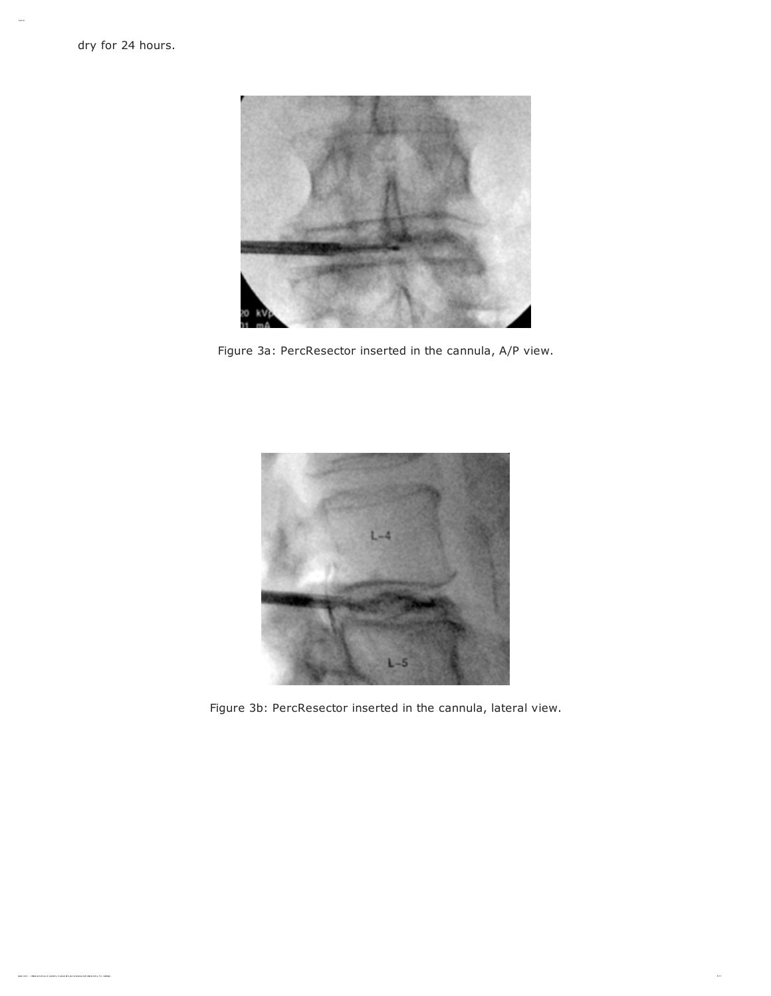Clinical O ut of Pat ient s Tr eat ed with Per cut and



Figure 3a: PercResector inserted in the cannula, A/P view.



Figure 3b: PercResector inserted in the cannula, lateral view.

 $\mathbb{R}^{11}$  . Clinical- out  $\mathbb{R}^{11}$  and ient s-  $\mathbb{R}^{11}$  and ient s- for an out aneous- true and animals-  $\mathbb{R}^{11}$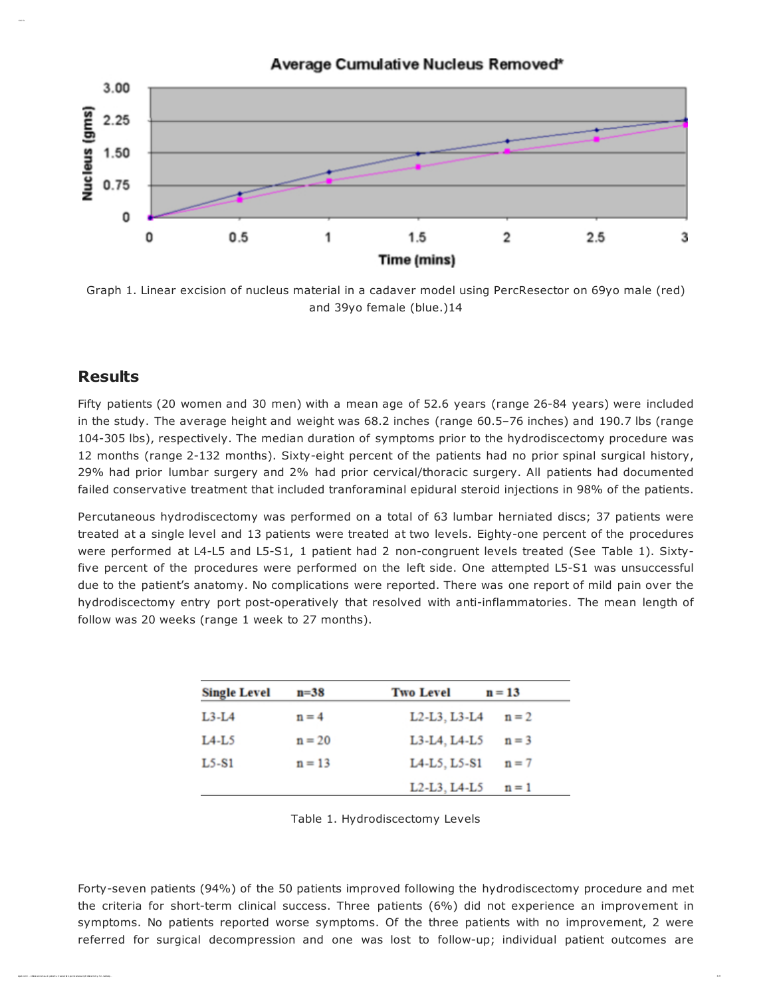

Graph 1. Linear excision of nucleus material in a cadaver model using PercResector on 69yo male (red) and 39yo female (blue.)14

## Results

Clinical O ut of Pat ient s Tr eat ed with Per cut and

Fifty patients (20 women and 30 men) with a mean age of 52.6 years (range 26-84 years) were included in the study. The average height and weight was 68.2 inches (range 60.5–76 inches) and 190.7 lbs (range 104-305 lbs), respectively. The median duration of symptoms prior to the hydrodiscectomy procedure was 12 months (range 2-132 months). Sixty-eight percent of the patients had no prior spinal surgical history, 29% had prior lumbar surgery and 2% had prior cervical/thoracic surgery. All patients had documented failed conservative treatment that included tranforaminal epidural steroid injections in 98% of the patients.

Percutaneous hydrodiscectomy was performed on a total of 63 lumbar herniated discs; 37 patients were treated at a single level and 13 patients were treated at two levels. Eighty-one percent of the procedures were performed at L4-L5 and L5-S1, 1 patient had 2 non-congruent levels treated (See Table 1). Sixtyfive percent of the procedures were performed on the left side. One attempted L5-S1 was unsuccessful due to the patient's anatomy. No complications were reported. There was one report of mild pain over the hydrodiscectomy entry port post-operatively that resolved with anti-inflammatories. The mean length of follow was 20 weeks (range 1 week to 27 months).

| <b>Single Level</b> | $n = 38$ | <b>Two Level</b>                                                | $n = 13$ |
|---------------------|----------|-----------------------------------------------------------------|----------|
| $L3-L4$             | $n = 4$  | L <sub>2</sub> -L <sub>3</sub> , L <sub>3</sub> -L <sub>4</sub> | $n = 2$  |
| $L4-L5$             | $n = 20$ | L3-L4, L4-L5                                                    | $n = 3$  |
| $L5-S1$             | $n = 13$ | L4-L5, L5-S1                                                    | $n = 7$  |
|                     |          | L <sub>2</sub> -L <sub>3</sub> , L <sub>4</sub> -L <sub>5</sub> | $n = 1$  |

Table 1. Hydrodiscectomy Levels

Forty-seven patients (94%) of the 50 patients improved following the hydrodiscectomy procedure and met the criteria for short-term clinical success. Three patients (6%) did not experience an improvement in symptoms. No patients reported worse symptoms. Of the three patients with no improvement, 2 were referred for surgical decompression and one was lost to follow-up; individual patient outcomes are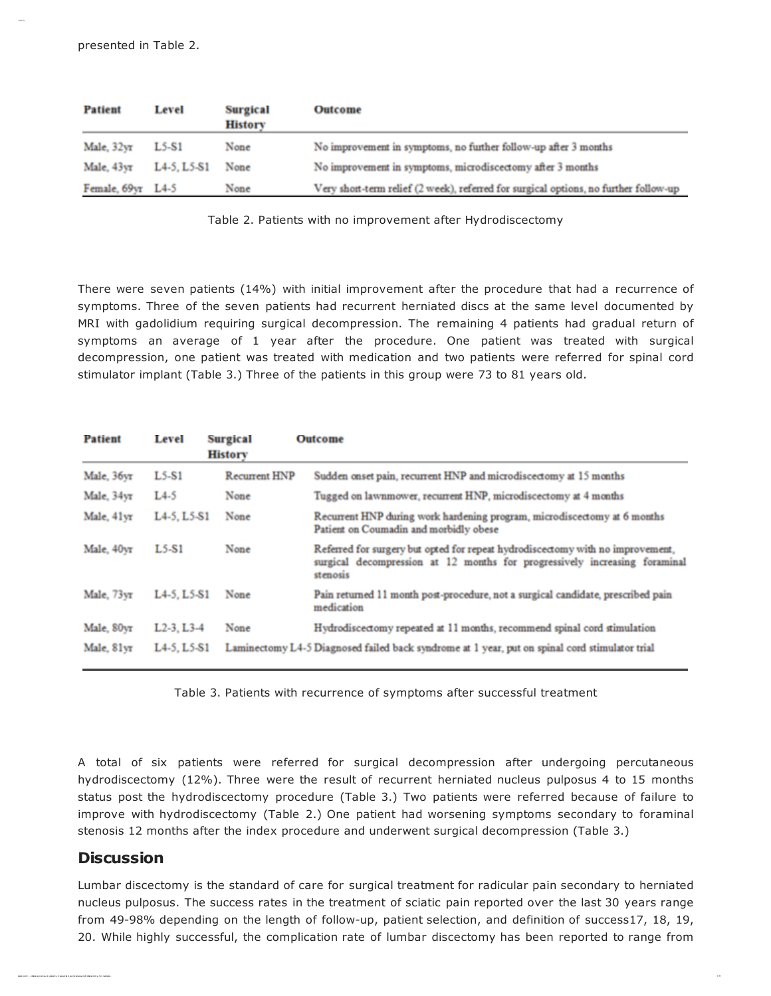Clinical O ut of Pat ient s Tr eat ed with Per cut and

| Patient           | Level       | <b>Surgical</b><br><b>History</b> | Outcome                                                                              |
|-------------------|-------------|-----------------------------------|--------------------------------------------------------------------------------------|
| Male, 32yr        | $L5-S1$     | None                              | No improvement in symptoms, no further follow-up after 3 months                      |
| Male, 43yr        | L4-5, L5-S1 | None                              | No improvement in symptoms, microdiscectomy after 3 months                           |
| Female, 69yr L4-5 |             | None                              | Very short-term relief (2 week), referred for surgical options, no further follow-up |

Table 2. Patients with no improvement after Hydrodiscectomy

There were seven patients (14%) with initial improvement after the procedure that had a recurrence of symptoms. Three of the seven patients had recurrent herniated discs at the same level documented by MRI with gadolidium requiring surgical decompression. The remaining 4 patients had gradual return of symptoms an average of 1 year after the procedure. One patient was treated with surgical decompression, one patient was treated with medication and two patients were referred for spinal cord stimulator implant (Table 3.) Three of the patients in this group were 73 to 81 years old.

| Patient    | Level                                             | <b>Surgical</b><br><b>History</b> | Outcome                                                                                                                                                                  |
|------------|---------------------------------------------------|-----------------------------------|--------------------------------------------------------------------------------------------------------------------------------------------------------------------------|
| Male, 36yr | $L5-S1$                                           | <b>Recurrent HNP</b>              | Sudden onset pain, recurrent HNP and microdiscectomy at 15 months                                                                                                        |
| Male, 34yr | $L4-5$                                            | None                              | Tugged on lawnmower, recurrent HNP, microdiscectomy at 4 months                                                                                                          |
| Male, 41yr | L4-5, L5-S1                                       | None                              | Recurrent HNP during work hardening program, microdiscectomy at 6 months<br>Patient on Coumadin and morbidly obese                                                       |
| Male, 40yr | $L5-S1$                                           | None                              | Referred for surgery but opted for repeat hydrodiscectomy with no improvement,<br>surgical decompression at 12 months for progressively increasing foraminal<br>stenosis |
| Male, 73yr | L <sub>4</sub> -5, L <sub>5</sub> -S <sub>1</sub> | None                              | Pain returned 11 month post-procedure, not a surgical candidate, prescribed pain<br>medication                                                                           |
| Male, 80yr | $L2-3$ , $L3-4$                                   | None                              | Hydrodiscectomy repeated at 11 months, recommend spinal cord stimulation                                                                                                 |
| Male, 81yr | L4-5, L5-S1                                       |                                   | Laminectomy L4-5 Diagnosed failed back syndrome at 1 year, put on spinal cord stimulator trial                                                                           |

Table 3. Patients with recurrence of symptoms after successful treatment

A total of six patients were referred for surgical decompression after undergoing percutaneous hydrodiscectomy (12%). Three were the result of recurrent herniated nucleus pulposus 4 to 15 months status post the hydrodiscectomy procedure (Table 3.) Two patients were referred because of failure to improve with hydrodiscectomy (Table 2.) One patient had worsening symptoms secondary to foraminal stenosis 12 months after the index procedure and underwent surgical decompression (Table 3.)

# **Discussion**

Lumbar discectomy is the standard of care for surgical treatment for radicular pain secondary to herniated nucleus pulposus. The success rates in the treatment of sciatic pain reported over the last 30 years range from 49-98% depending on the length of follow-up, patient selection, and definition of success17, 18, 19, 20. While highly successful, the complication rate of lumbar discectomy has been reported to range from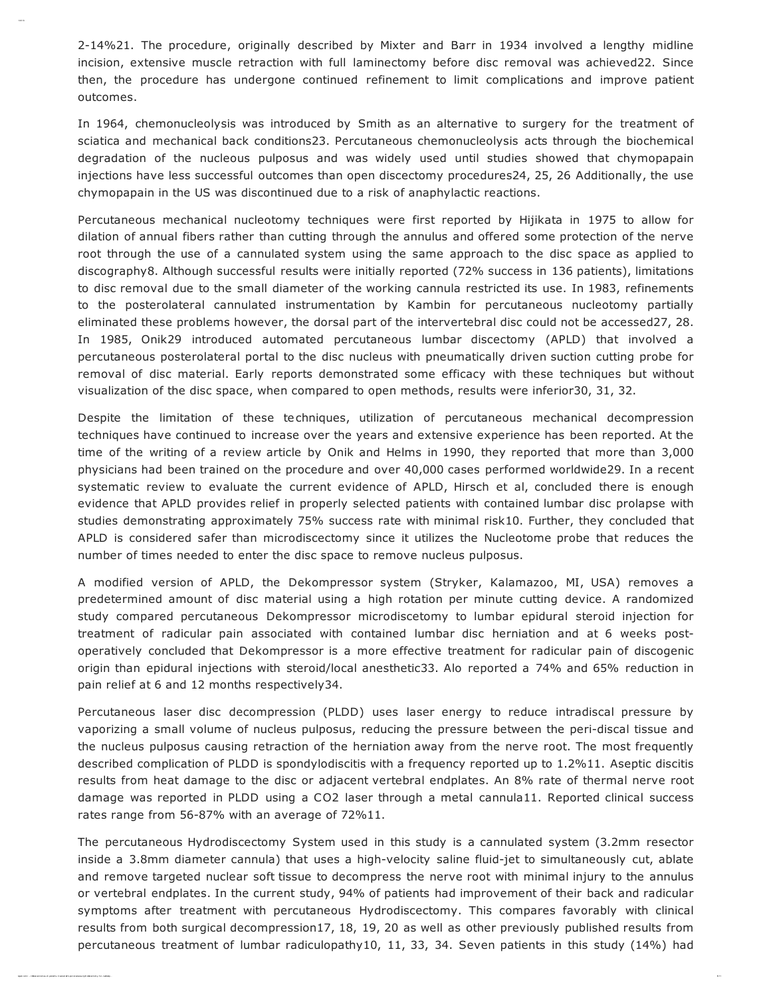2-14%21. The procedure, originally described by Mixter and Barr in 1934 involved a lengthy midline incision, extensive muscle retraction with full laminectomy before disc removal was achieved22. Since then, the procedure has undergone continued refinement to limit complications and improve patient outcomes.

In 1964, chemonucleolysis was introduced by Smith as an alternative to surgery for the treatment of sciatica and mechanical back conditions23. Percutaneous chemonucleolysis acts through the biochemical degradation of the nucleous pulposus and was widely used until studies showed that chymopapain injections have less successful outcomes than open discectomy procedures24, 25, 26 Additionally, the use chymopapain in the US was discontinued due to a risk of anaphylactic reactions.

Percutaneous mechanical nucleotomy techniques were first reported by Hijikata in 1975 to allow for dilation of annual fibers rather than cutting through the annulus and offered some protection of the nerve root through the use of a cannulated system using the same approach to the disc space as applied to discography8. Although successful results were initially reported (72% success in 136 patients), limitations to disc removal due to the small diameter of the working cannula restricted its use. In 1983, refinements to the posterolateral cannulated instrumentation by Kambin for percutaneous nucleotomy partially eliminated these problems however, the dorsal part of the intervertebral disc could not be accessed27, 28. In 1985, Onik29 introduced automated percutaneous lumbar discectomy (APLD) that involved a percutaneous posterolateral portal to the disc nucleus with pneumatically driven suction cutting probe for removal of disc material. Early reports demonstrated some efficacy with these techniques but without visualization of the disc space, when compared to open methods, results were inferior30, 31, 32.

Despite the limitation of these techniques, utilization of percutaneous mechanical decompression techniques have continued to increase over the years and extensive experience has been reported. At the time of the writing of a review article by Onik and Helms in 1990, they reported that more than 3,000 physicians had been trained on the procedure and over 40,000 cases performed worldwide29. In a recent systematic review to evaluate the current evidence of APLD, Hirsch et al, concluded there is enough evidence that APLD provides relief in properly selected patients with contained lumbar disc prolapse with studies demonstrating approximately 75% success rate with minimal risk10. Further, they concluded that APLD is considered safer than microdiscectomy since it utilizes the Nucleotome probe that reduces the number of times needed to enter the disc space to remove nucleus pulposus.

A modified version of APLD, the Dekompressor system (Stryker, Kalamazoo, MI, USA) removes a predetermined amount of disc material using a high rotation per minute cutting device. A randomized study compared percutaneous Dekompressor microdiscetomy to lumbar epidural steroid injection for treatment of radicular pain associated with contained lumbar disc herniation and at 6 weeks postoperatively concluded that Dekompressor is a more effective treatment for radicular pain of discogenic origin than epidural injections with steroid/local anesthetic33. Alo reported a 74% and 65% reduction in pain relief at 6 and 12 months respectively34.

Percutaneous laser disc decompression (PLDD) uses laser energy to reduce intradiscal pressure by vaporizing a small volume of nucleus pulposus, reducing the pressure between the peri-discal tissue and the nucleus pulposus causing retraction of the herniation away from the nerve root. The most frequently described complication of PLDD is spondylodiscitis with a frequency reported up to 1.2%11. Aseptic discitis results from heat damage to the disc or adjacent vertebral endplates. An 8% rate of thermal nerve root damage was reported in PLDD using a CO2 laser through a metal cannula11. Reported clinical success rates range from 56-87% with an average of 72%11.

The percutaneous Hydrodiscectomy System used in this study is a cannulated system (3.2mm resector inside a 3.8mm diameter cannula) that uses a high-velocity saline fluid-jet to simultaneously cut, ablate and remove targeted nuclear soft tissue to decompress the nerve root with minimal injury to the annulus or vertebral endplates. In the current study, 94% of patients had improvement of their back and radicular symptoms after treatment with percutaneous Hydrodiscectomy. This compares favorably with clinical results from both surgical decompression17, 18, 19, 20 as well as other previously published results from percutaneous treatment of lumbar radiculopathy10, 11, 33, 34. Seven patients in this study (14%) had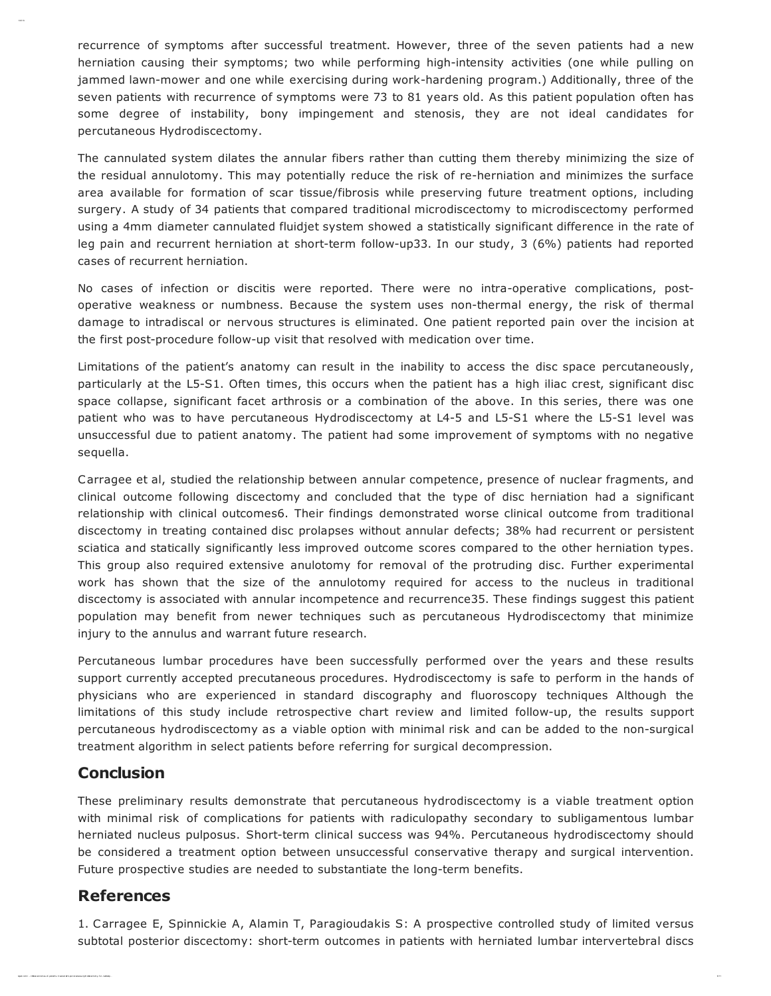recurrence of symptoms after successful treatment. However, three of the seven patients had a new herniation causing their symptoms; two while performing high-intensity activities (one while pulling on jammed lawn-mower and one while exercising during work-hardening program.) Additionally, three of the seven patients with recurrence of symptoms were 73 to 81 years old. As this patient population often has some degree of instability, bony impingement and stenosis, they are not ideal candidates for percutaneous Hydrodiscectomy.

The cannulated system dilates the annular fibers rather than cutting them thereby minimizing the size of the residual annulotomy. This may potentially reduce the risk of re-herniation and minimizes the surface area available for formation of scar tissue/fibrosis while preserving future treatment options, including surgery. A study of 34 patients that compared traditional microdiscectomy to microdiscectomy performed using a 4mm diameter cannulated fluidjet system showed a statistically significant difference in the rate of leg pain and recurrent herniation at short-term follow-up33. In our study, 3 (6%) patients had reported cases of recurrent herniation.

No cases of infection or discitis were reported. There were no intra-operative complications, postoperative weakness or numbness. Because the system uses non-thermal energy, the risk of thermal damage to intradiscal or nervous structures is eliminated. One patient reported pain over the incision at the first post-procedure follow-up visit that resolved with medication over time.

Limitations of the patient's anatomy can result in the inability to access the disc space percutaneously, particularly at the L5-S1. Often times, this occurs when the patient has a high iliac crest, significant disc space collapse, significant facet arthrosis or a combination of the above. In this series, there was one patient who was to have percutaneous Hydrodiscectomy at L4-5 and L5-S1 where the L5-S1 level was unsuccessful due to patient anatomy. The patient had some improvement of symptoms with no negative sequella.

Carragee et al, studied the relationship between annular competence, presence of nuclear fragments, and clinical outcome following discectomy and concluded that the type of disc herniation had a significant relationship with clinical outcomes6. Their findings demonstrated worse clinical outcome from traditional discectomy in treating contained disc prolapses without annular defects; 38% had recurrent or persistent sciatica and statically significantly less improved outcome scores compared to the other herniation types. This group also required extensive anulotomy for removal of the protruding disc. Further experimental work has shown that the size of the annulotomy required for access to the nucleus in traditional discectomy is associated with annular incompetence and recurrence35. These findings suggest this patient population may benefit from newer techniques such as percutaneous Hydrodiscectomy that minimize injury to the annulus and warrant future research.

Percutaneous lumbar procedures have been successfully performed over the years and these results support currently accepted precutaneous procedures. Hydrodiscectomy is safe to perform in the hands of physicians who are experienced in standard discography and fluoroscopy techniques Although the limitations of this study include retrospective chart review and limited follow-up, the results support percutaneous hydrodiscectomy as a viable option with minimal risk and can be added to the non-surgical treatment algorithm in select patients before referring for surgical decompression.

### Conclusion

These preliminary results demonstrate that percutaneous hydrodiscectomy is a viable treatment option with minimal risk of complications for patients with radiculopathy secondary to subligamentous lumbar herniated nucleus pulposus. Short-term clinical success was 94%. Percutaneous hydrodiscectomy should be considered a treatment option between unsuccessful conservative therapy and surgical intervention. Future prospective studies are needed to substantiate the long-term benefits.

## References

1. Carragee E, Spinnickie A, Alamin T, Paragioudakis S: A prospective controlled study of limited versus subtotal posterior discectomy: short-term outcomes in patients with herniated lumbar intervertebral discs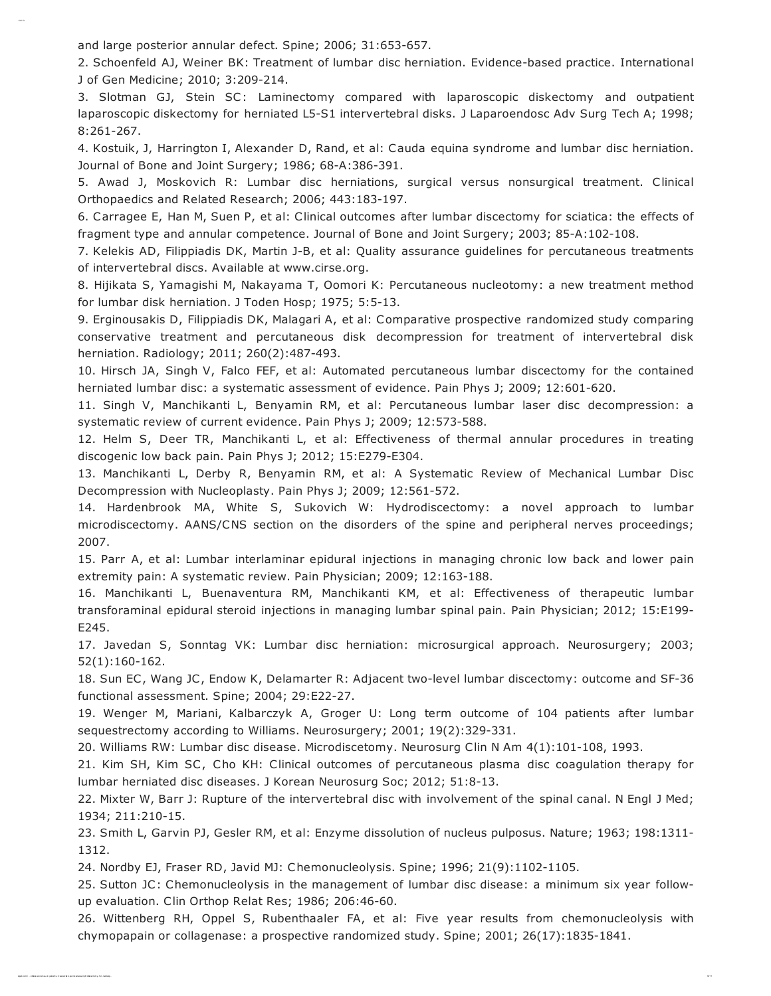and large posterior annular defect. Spine; 2006; 31:653-657.

Clinical O ut of Pat ient s Tr eat ed with Per cut and

2. Schoenfeld AJ, Weiner BK: Treatment of lumbar disc herniation. Evidence-based practice. International J of Gen Medicine; 2010; 3:209-214.

3. Slotman GJ, Stein SC: Laminectomy compared with laparoscopic diskectomy and outpatient laparoscopic diskectomy for herniated L5-S1 intervertebral disks. J Laparoendosc Adv Surg Tech A; 1998; 8:261-267.

4. Kostuik, J, Harrington I, Alexander D, Rand, et al: Cauda equina syndrome and lumbar disc herniation. Journal of Bone and Joint Surgery; 1986; 68-A:386-391.

5. Awad J, Moskovich R: Lumbar disc herniations, surgical versus nonsurgical treatment. Clinical Orthopaedics and Related Research; 2006; 443:183-197.

6. Carragee E, Han M, Suen P, et al: Clinical outcomes after lumbar discectomy for sciatica: the effects of fragment type and annular competence. Journal of Bone and Joint Surgery; 2003; 85-A:102-108.

7. Kelekis AD, Filippiadis DK, Martin J-B, et al: Quality assurance guidelines for percutaneous treatments of intervertebral discs. Available at www.cirse.org.

8. Hijikata S, Yamagishi M, Nakayama T, Oomori K: Percutaneous nucleotomy: a new treatment method for lumbar disk herniation. J Toden Hosp; 1975; 5:5-13.

9. Erginousakis D, Filippiadis DK, Malagari A, et al: Comparative prospective randomized study comparing conservative treatment and percutaneous disk decompression for treatment of intervertebral disk herniation. Radiology; 2011; 260(2):487-493.

10. Hirsch JA, Singh V, Falco FEF, et al: Automated percutaneous lumbar discectomy for the contained herniated lumbar disc: a systematic assessment of evidence. Pain Phys J; 2009; 12:601-620.

11. Singh V, Manchikanti L, Benyamin RM, et al: Percutaneous lumbar laser disc decompression: a systematic review of current evidence. Pain Phys J; 2009; 12:573-588.

12. Helm S, Deer TR, Manchikanti L, et al: Effectiveness of thermal annular procedures in treating discogenic low back pain. Pain Phys J; 2012; 15:E279-E304.

13. Manchikanti L, Derby R, Benyamin RM, et al: A Systematic Review of Mechanical Lumbar Disc Decompression with Nucleoplasty. Pain Phys J; 2009; 12:561-572.

14. Hardenbrook MA, White S, Sukovich W: Hydrodiscectomy: a novel approach to lumbar microdiscectomy. AANS/CNS section on the disorders of the spine and peripheral nerves proceedings; 2007.

15. Parr A, et al: Lumbar interlaminar epidural injections in managing chronic low back and lower pain extremity pain: A systematic review. Pain Physician; 2009; 12:163-188.

16. Manchikanti L, Buenaventura RM, Manchikanti KM, et al: Effectiveness of therapeutic lumbar transforaminal epidural steroid injections in managing lumbar spinal pain. Pain Physician; 2012; 15:E199- E245.

17. Javedan S, Sonntag VK: Lumbar disc herniation: microsurgical approach. Neurosurgery; 2003; 52(1):160-162.

18. Sun EC, Wang JC, Endow K, Delamarter R: Adjacent two-level lumbar discectomy: outcome and SF-36 functional assessment. Spine; 2004; 29:E22-27.

19. Wenger M, Mariani, Kalbarczyk A, Groger U: Long term outcome of 104 patients after lumbar sequestrectomy according to Williams. Neurosurgery; 2001; 19(2):329-331.

20. Williams RW: Lumbar disc disease. Microdiscetomy. Neurosurg Clin N Am 4(1):101-108, 1993.

21. Kim SH, Kim SC, Cho KH: Clinical outcomes of percutaneous plasma disc coagulation therapy for lumbar herniated disc diseases. J Korean Neurosurg Soc; 2012; 51:8-13.

22. Mixter W, Barr J: Rupture of the intervertebral disc with involvement of the spinal canal. N Engl J Med; 1934; 211:210-15.

23. Smith L, Garvin PJ, Gesler RM, et al: Enzyme dissolution of nucleus pulposus. Nature; 1963; 198:1311- 1312.

24. Nordby EJ, Fraser RD, Javid MJ: Chemonucleolysis. Spine; 1996; 21(9):1102-1105.

25. Sutton JC: Chemonucleolysis in the management of lumbar disc disease: a minimum six year followup evaluation. Clin Orthop Relat Res; 1986; 206:46-60.

26. Wittenberg RH, Oppel S, Rubenthaaler FA, et al: Five year results from chemonucleolysis with chymopapain or collagenase: a prospective randomized study. Spine; 2001; 26(17):1835-1841.

ispub. com /…/ clinical- out com es- of - pat ient s- tr eat ed- wit h- per cut aneous- hydr odiscect om y- for - r adiculop… 10/ 11